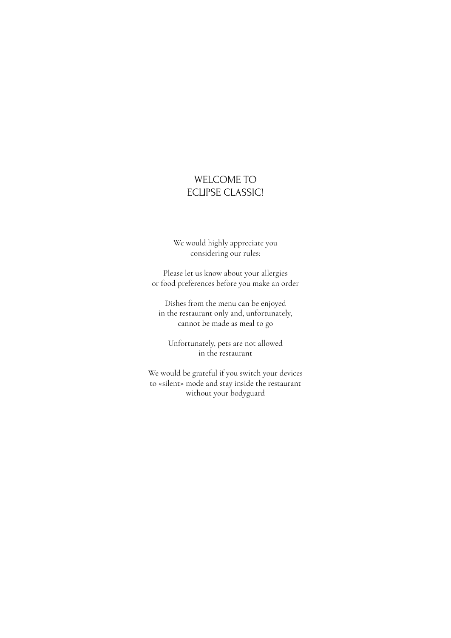## WELCOME TO ECLIPSE CLASSIC!

We would highly appreciate you considering our rules:

Please let us know about your allergies or food preferences before you make an order

Dishes from the menu can be enjoyed in the restaurant only and, unfortunately, cannot be made as meal to go

Unfortunately, pets are not allowed in the restaurant

We would be grateful if you switch your devices to «silent» mode and stay inside the restaurant without your bodyguard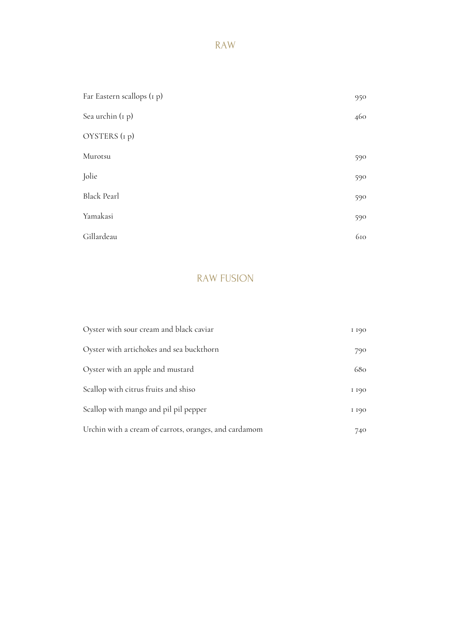## RAW

| Far Eastern scallops (1 p) | 950 |
|----------------------------|-----|
| Sea urchin (1 p)           | 460 |
| OYSTERS (1 p)              |     |
| Murotsu                    | 590 |
| Jolie                      | 590 |
| <b>Black Pearl</b>         | 590 |
| Yamakasi                   | 590 |
| Gillardeau                 | 610 |

# RAW FUSION

| Oyster with sour cream and black caviar               | I 190 |
|-------------------------------------------------------|-------|
| Oyster with artichokes and sea buckthorn              | 790   |
| Oyster with an apple and mustard                      | 680   |
| Scallop with citrus fruits and shiso                  | I 190 |
| Scallop with mango and pil pil pepper                 | I 190 |
| Urchin with a cream of carrots, oranges, and cardamom | 740   |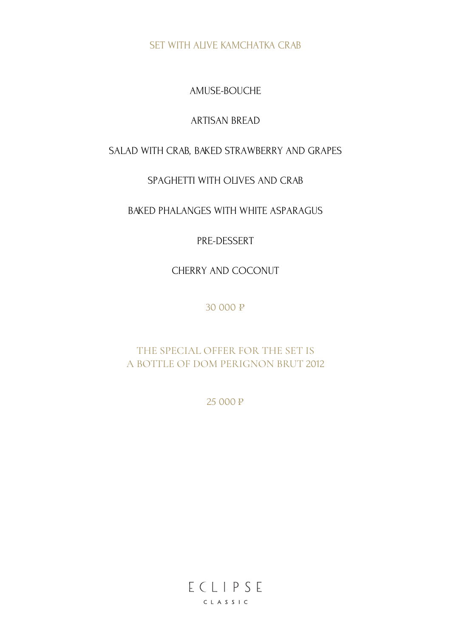## SET WITH ALIVE KAMCHATKA CRAB

AMUSE-BOUCHE

## ARTISAN BREAD

# SALAD WITH CRAB, BAKED STRAWBERRY AND GRAPES

## SPAGHETTI WITH OLIVES AND CRAB

## BAKED PHALANGES WITH WHITE ASPARAGUS

## PRE-DESSERT

## CHERRY AND COCONUT

## 30 000 ₽

## THE SPECIAL OFFER FOR THE SET IS A BOTTLE OF DOM PERIGNON BRUT 2012

25 000 ₽

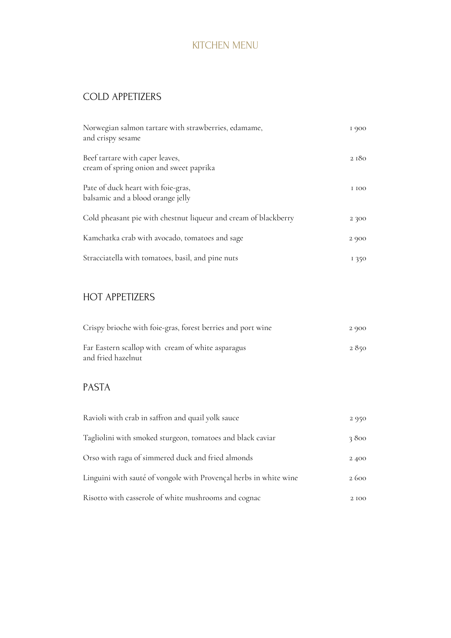# KITCHEN MENU

# COLD APPETIZERS

| Norwegian salmon tartare with strawberries, edamame,<br>and crispy sesame  | I 900 |
|----------------------------------------------------------------------------|-------|
| Beef tartare with caper leaves,<br>cream of spring onion and sweet paprika | 2 180 |
| Pate of duck heart with foie-gras,<br>balsamic and a blood orange jelly    | I IOO |
| Cold pheasant pie with chestnut liqueur and cream of blackberry            | 2 300 |
| Kamchatka crab with avocado, tomatoes and sage                             | 2 900 |
| Stracciatella with tomatoes, basil, and pine nuts                          | I 350 |

# HOT APPETIZERS

| Crispy brioche with foie-gras, forest berries and port wine | 2 900 |
|-------------------------------------------------------------|-------|
| Far Eastern scallop with cream of white asparagus           | 2850  |
| and fried hazelnut                                          |       |

# PASTA

| Ravioli with crab in saffron and quail yolk sauce                 | 2 9 5 0 |
|-------------------------------------------------------------------|---------|
| Tagliolini with smoked sturgeon, tomatoes and black caviar        | 3800    |
| Orso with ragu of simmered duck and fried almonds                 | 2 400   |
| Linguini with sauté of vongole with Provençal herbs in white wine | 2600    |
| Risotto with casserole of white mushrooms and cognac              | 2 100   |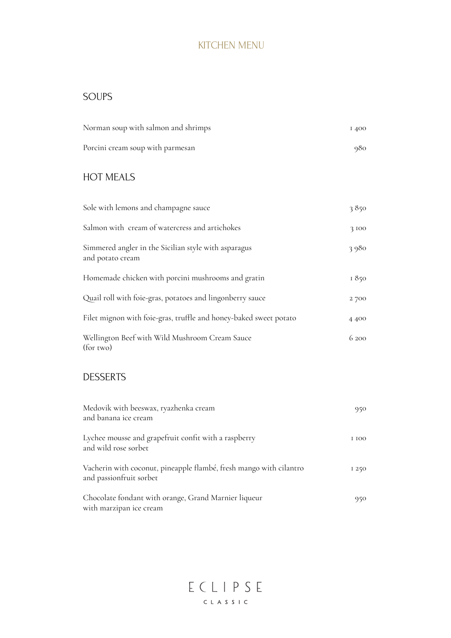## KITCHEN MENU

# SOUPS

| Norman soup with salmon and shrimps | I 400 |
|-------------------------------------|-------|
| Porcini cream soup with parmesan    | 980   |

# HOT MEALS

| Sole with lemons and champagne sauce                                     | 3850  |
|--------------------------------------------------------------------------|-------|
| Salmon with cream of watercress and artichokes                           | 3 100 |
| Simmered angler in the Sicilian style with asparagus<br>and potato cream | 3980  |
| Homemade chicken with porcini mushrooms and gratin                       | 1850  |
| Quail roll with foie-gras, potatoes and lingonberry sauce                | 2700  |
| Filet mignon with foie-gras, truffle and honey-baked sweet potato        | 4 400 |
| Wellington Beef with Wild Mushroom Cream Sauce<br>(for two)              | 6.200 |

## DESSERTS

| Medovik with beeswax, ryazhenka cream<br>and banana ice cream                                 | 950   |
|-----------------------------------------------------------------------------------------------|-------|
| Lychee mousse and grapefruit confit with a raspberry<br>and wild rose sorbet                  | I IOO |
| Vacherin with coconut, pineapple flambé, fresh mango with cilantro<br>and passionfruit sorbet | I 250 |
| Chocolate fondant with orange, Grand Marnier liqueur<br>with marzipan ice cream               | 950   |

 $E CLIPSE$ CLASSIC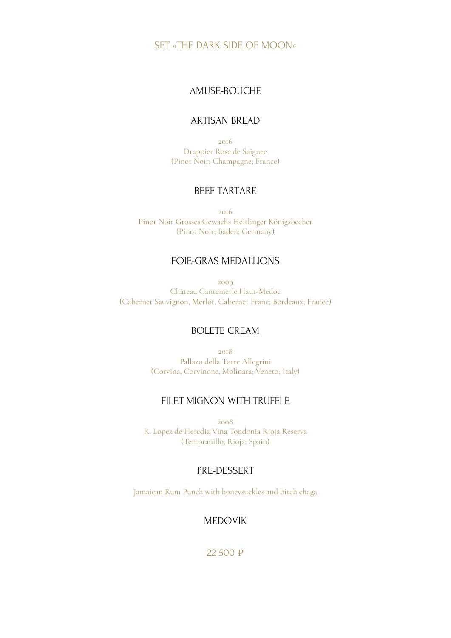#### SET «THE DARK SIDE OF MOON»

## AMUSE-BOUCHE

#### ARTISAN BREAD

2016 Drappier Rose de Saignee (Pinot Noir; Champagne; France)

#### BEEF TARTARE

2016 Pinot Noir Grosses Gewachs Heitlinger Königsbecher (Pinot Noir; Baden; Germany)

#### FOIE-GRAS MEDALLIONS

2009 Chateau Cantemerle Haut-Medoc (Cabernet Sauvignon, Merlot, Cabernet Franc; Bordeaux; France)

## BOLETE CREAM

2018 Pallazo della Torre Allegrini (Corvina, Corvinone, Molinara; Veneto; Italy)

### FILET MIGNON WITH TRUFFLE

2008 R. Lopez de Heredia Vina Tondonia Rioja Reserva (Tempranillo; Rioja; Spain)

#### PRE-DESSERT

Jamaican Rum Punch with honeysuckles and birch chaga

## MEDOVIK

22 500 ₽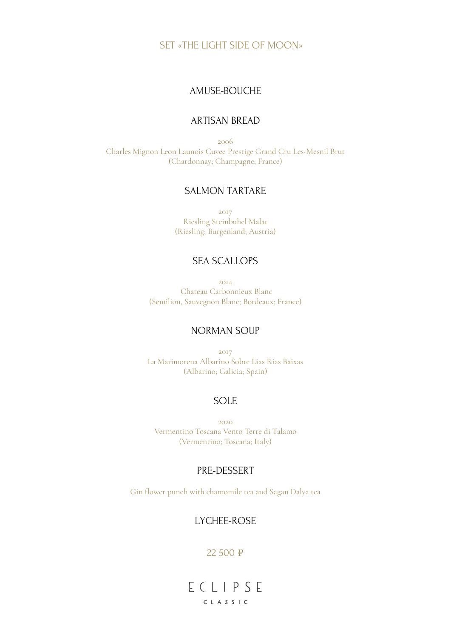#### SET «THE LIGHT SIDE OF MOON»

#### AMUSE-BOUCHE

#### ARTISAN BREAD

2006 Charles Mignon Leon Launois Cuvee Prestige Grand Cru Les-Mesnil Brut (Chardonnay; Champagne; France)

#### SALMON TARTARE

2017 Riesling Steinbuhel Malat (Riesling; Burgenland; Austria)

#### SEA SCALLOPS

2014 Chateau Carbonnieux Blanc (Semilion, Sauvegnon Blanc; Bordeaux; France)

#### NORMAN SOUP

2017 La Marimorena Albarino Sobre Lias Rias Baixas (Albarino; Galicia; Spain)

#### SOLЕ

2020 Vermentino Toscana Vento Terre di Talamo (Vermentino; Toscana; Italy)

#### PRE-DESSERT

Gin flower punch with chamomile tea and Sagan Dalya tea

#### LYCHEE-ROSE

#### 22 500 ₽

ECLIPSE CLASSIC